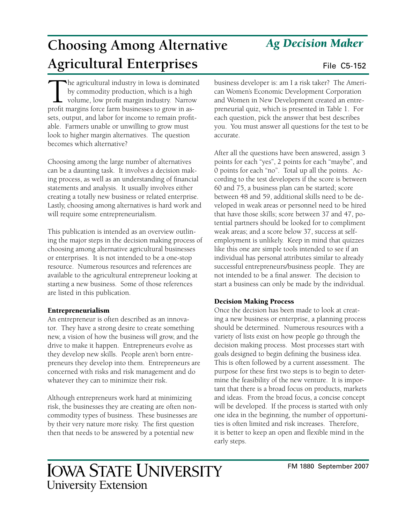#### FM 1880 September 2007

# *Ag Decision Maker*

# **Choosing Among Alternative Agricultural Enterprises** File C5-152

The agricultural industry in Iowa is dominated by commodity production, which is a high volume, low profit margin industry. Narrow profit margins force farm businesses to grow in assets, output, and labor for income to remain profitable. Farmers unable or unwilling to grow must look to higher margin alternatives. The question becomes which alternative?

Choosing among the large number of alternatives can be a daunting task. It involves a decision making process, as well as an understanding of financial statements and analysis. It usually involves either creating a totally new business or related enterprise. Lastly, choosing among alternatives is hard work and will require some entrepreneurialism.

This publication is intended as an overview outlining the major steps in the decision making process of choosing among alternative agricultural businesses or enterprises. It is not intended to be a one-stop resource. Numerous resources and references are available to the agricultural entrepreneur looking at starting a new business. Some of those references are listed in this publication.

### Entrepreneurialism

An entrepreneur is often described as an innovator. They have a strong desire to create something new, a vision of how the business will grow, and the drive to make it happen. Entrepreneurs evolve as they develop new skills. People aren't born entrepreneurs they develop into them. Entrepreneurs are concerned with risks and risk management and do whatever they can to minimize their risk.

Although entrepreneurs work hard at minimizing risk, the businesses they are creating are often noncommodity types of business. These businesses are by their very nature more risky. The first question then that needs to be answered by a potential new

business developer is: am I a risk taker? The American Women's Economic Development Corporation and Women in New Development created an entrepreneurial quiz, which is presented in Table 1. For each question, pick the answer that best describes you. You must answer all questions for the test to be accurate.

After all the questions have been answered, assign 3 points for each "yes", 2 points for each "maybe", and 0 points for each "no". Total up all the points. According to the test developers if the score is between 60 and 75, a business plan can be started; score between 48 and 59, additional skills need to be developed in weak areas or personnel need to be hired that have those skills; score between 37 and 47, potential partners should be looked for to compliment weak areas; and a score below 37, success at selfemployment is unlikely. Keep in mind that quizzes like this one are simple tools intended to see if an individual has personal attributes similar to already successful entrepreneurs/business people. They are not intended to be a final answer. The decision to start a business can only be made by the individual.

### Decision Making Process

Once the decision has been made to look at creating a new business or enterprise, a planning process should be determined. Numerous resources with a variety of lists exist on how people go through the decision making process. Most processes start with goals designed to begin defining the business idea. This is often followed by a current assessment. The purpose for these first two steps is to begin to determine the feasibility of the new venture. It is important that there is a broad focus on products, markets and ideas. From the broad focus, a concise concept will be developed. If the process is started with only one idea in the beginning, the number of opportunities is often limited and risk increases. Therefore, it is better to keep an open and flexible mind in the early steps.

## **IOWA STATE UNIVERSITY University Extension**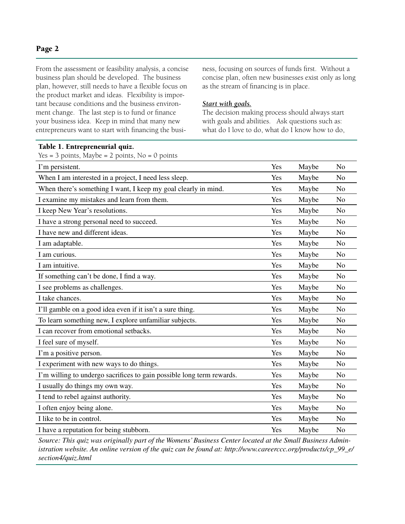#### Page 2

From the assessment or feasibility analysis, a concise business plan should be developed. The business plan, however, still needs to have a flexible focus on the product market and ideas. Flexibility is important because conditions and the business environment change. The last step is to fund or finance your business idea. Keep in mind that many new entrepreneurs want to start with financing the busi-

Table 1. Entrepreneurial quiz.

ness, focusing on sources of funds first. Without a concise plan, often new businesses exist only as long as the stream of financing is in place.

#### *Start with goals.*

The decision making process should always start with goals and abilities. Ask questions such as: what do I love to do, what do I know how to do,

| Yes = 3 points, Maybe = 2 points, $No = 0$ points                     |     |       |                |
|-----------------------------------------------------------------------|-----|-------|----------------|
| I'm persistent.                                                       | Yes | Maybe | N <sub>0</sub> |
| When I am interested in a project, I need less sleep.                 | Yes | Maybe | N <sub>o</sub> |
| When there's something I want, I keep my goal clearly in mind.        | Yes | Maybe | N <sub>o</sub> |
| I examine my mistakes and learn from them.                            | Yes | Maybe | N <sub>o</sub> |
| I keep New Year's resolutions.                                        | Yes | Maybe | N <sub>o</sub> |
| I have a strong personal need to succeed.                             | Yes | Maybe | N <sub>o</sub> |
| I have new and different ideas.                                       | Yes | Maybe | N <sub>o</sub> |
| I am adaptable.                                                       | Yes | Maybe | N <sub>o</sub> |
| I am curious.                                                         | Yes | Maybe | N <sub>o</sub> |
| I am intuitive.                                                       | Yes | Maybe | N <sub>o</sub> |
| If something can't be done, I find a way.                             | Yes | Maybe | N <sub>o</sub> |
| I see problems as challenges.                                         | Yes | Maybe | N <sub>o</sub> |
| I take chances.                                                       | Yes | Maybe | N <sub>o</sub> |
| I'll gamble on a good idea even if it isn't a sure thing.             | Yes | Maybe | N <sub>o</sub> |
| To learn something new, I explore unfamiliar subjects.                | Yes | Maybe | N <sub>o</sub> |
| I can recover from emotional setbacks.                                | Yes | Maybe | N <sub>o</sub> |
| I feel sure of myself.                                                | Yes | Maybe | N <sub>o</sub> |
| I'm a positive person.                                                | Yes | Maybe | N <sub>o</sub> |
| I experiment with new ways to do things.                              | Yes | Maybe | N <sub>o</sub> |
| I'm willing to undergo sacrifices to gain possible long term rewards. | Yes | Maybe | N <sub>o</sub> |
| I usually do things my own way.                                       | Yes | Maybe | No             |
| I tend to rebel against authority.                                    | Yes | Maybe | N <sub>o</sub> |
| I often enjoy being alone.                                            | Yes | Maybe | N <sub>o</sub> |
| I like to be in control.                                              | Yes | Maybe | N <sub>o</sub> |
| I have a reputation for being stubborn.                               | Yes | Maybe | N <sub>o</sub> |

*Source: This quiz was originally part of the Womens' Business Center located at the Small Business Administration website. An online version of the quiz can be found at: http://www.careerccc.org/products/cp\_99\_e/ section4/quiz.html*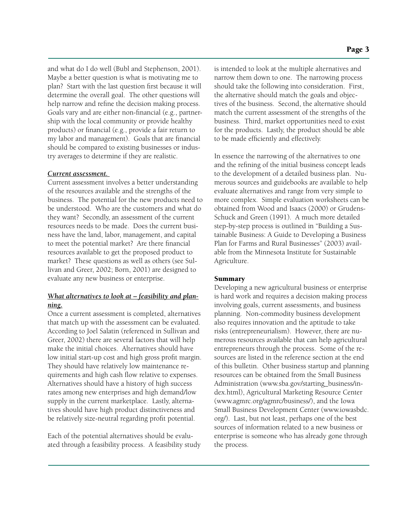Page 3

and what do I do well (Bubl and Stephenson, 2001). Maybe a better question is what is motivating me to plan? Start with the last question first because it will determine the overall goal. The other questions will help narrow and refine the decision making process. Goals vary and are either non-financial (e.g., partnership with the local community or provide healthy products) or financial (e.g., provide a fair return to my labor and management). Goals that are financial should be compared to existing businesses or industry averages to determine if they are realistic.

#### *Current assessment.*

Current assessment involves a better understanding of the resources available and the strengths of the business. The potential for the new products need to be understood. Who are the customers and what do they want? Secondly, an assessment of the current resources needs to be made. Does the current business have the land, labor, management, and capital to meet the potential market? Are there financial resources available to get the proposed product to market? These questions as well as others (see Sullivan and Greer, 2002; Born, 2001) are designed to evaluate any new business or enterprise.

### *What alternatives to look at – feasibility and planning.*

Once a current assessment is completed, alternatives that match up with the assessment can be evaluated. According to Joel Salatin (referenced in Sullivan and Greer, 2002) there are several factors that will help make the initial choices. Alternatives should have low initial start-up cost and high gross profit margin. They should have relatively low maintenance requirements and high cash flow relative to expenses. Alternatives should have a history of high success rates among new enterprises and high demand/low supply in the current marketplace. Lastly, alternatives should have high product distinctiveness and be relatively size-neutral regarding profit potential.

Each of the potential alternatives should be evaluated through a feasibility process. A feasibility study is intended to look at the multiple alternatives and narrow them down to one. The narrowing process should take the following into consideration. First, the alternative should match the goals and objectives of the business. Second, the alternative should match the current assessment of the strengths of the business. Third, market opportunities need to exist for the products. Lastly, the product should be able to be made efficiently and effectively.

In essence the narrowing of the alternatives to one and the refining of the initial business concept leads to the development of a detailed business plan. Numerous sources and guidebooks are available to help evaluate alternatives and range from very simple to more complex. Simple evaluation worksheets can be obtained from Wood and Isaacs (2000) or Grudens-Schuck and Green (1991). A much more detailed step-by-step process is outlined in "Building a Sustainable Business: A Guide to Developing a Business Plan for Farms and Rural Businesses" (2003) available from the Minnesota Institute for Sustainable Agriculture.

#### Summary

Developing a new agricultural business or enterprise is hard work and requires a decision making process involving goals, current assessments, and business planning. Non-commodity business development also requires innovation and the aptitude to take risks (entrepreneurialism). However, there are numerous resources available that can help agricultural entrepreneurs through the process. Some of the resources are listed in the reference section at the end of this bulletin. Other business startup and planning resources can be obtained from the Small Business Administration (www.sba.gov/starting\_business/index.html), Agricultural Marketing Resource Center (www.agmrc.org/agmrc/business/), and the Iowa Small Business Development Center (www.iowasbdc. org/). Last, but not least, perhaps one of the best sources of information related to a new business or enterprise is someone who has already gone through the process.